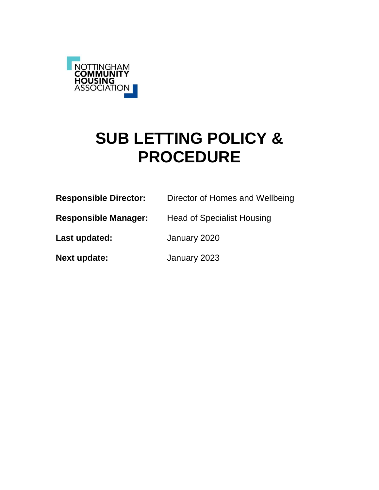

# **SUB LETTING POLICY & PROCEDURE**

| <b>Responsible Director:</b> | Director of Homes and Wellbeing   |
|------------------------------|-----------------------------------|
| <b>Responsible Manager:</b>  | <b>Head of Specialist Housing</b> |
| Last updated:                | January 2020                      |
| <b>Next update:</b>          | January 2023                      |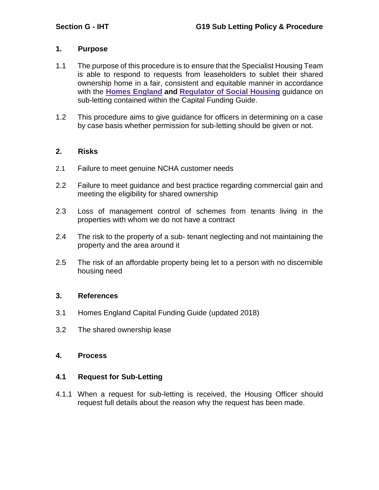## **1. Purpose**

- 1.1 The purpose of this procedure is to ensure that the Specialist Housing Team is able to respond to requests from leaseholders to sublet their shared ownership home in a fair, consistent and equitable manner in accordance with the **Homes [England](https://www.gov.uk/government/organisations/homes-england) and [Regulator](https://www.gov.uk/government/organisations/regulator-of-social-housing) of Social Housing** guidance on sub-letting contained within the Capital Funding Guide.
- 1.2 This procedure aims to give guidance for officers in determining on a case by case basis whether permission for sub-letting should be given or not.

#### **2. Risks**

- 2.1 Failure to meet genuine NCHA customer needs
- 2.2 Failure to meet guidance and best practice regarding commercial gain and meeting the eligibility for shared ownership
- 2.3 Loss of management control of schemes from tenants living in the properties with whom we do not have a contract
- 2.4 The risk to the property of a sub- tenant neglecting and not maintaining the property and the area around it
- 2.5 The risk of an affordable property being let to a person with no discernible housing need

#### **3. References**

- 3.1 Homes England Capital Funding Guide (updated 2018)
- 3.2 The shared ownership lease

## **4. Process**

#### **4.1 Request for Sub-Letting**

4.1.1 When a request for sub-letting is received, the Housing Officer should request full details about the reason why the request has been made.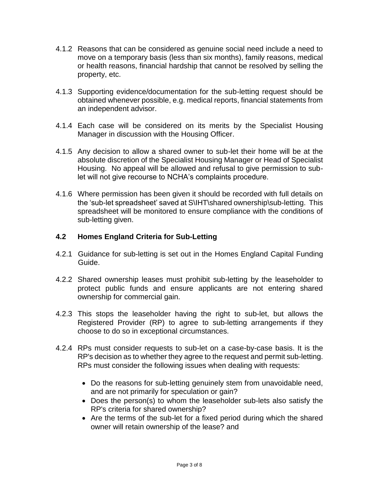- 4.1.2 Reasons that can be considered as genuine social need include a need to move on a temporary basis (less than six months), family reasons, medical or health reasons, financial hardship that cannot be resolved by selling the property, etc.
- 4.1.3 Supporting evidence/documentation for the sub-letting request should be obtained whenever possible, e.g. medical reports, financial statements from an independent advisor.
- 4.1.4 Each case will be considered on its merits by the Specialist Housing Manager in discussion with the Housing Officer.
- 4.1.5 Any decision to allow a shared owner to sub-let their home will be at the absolute discretion of the Specialist Housing Manager or Head of Specialist Housing. No appeal will be allowed and refusal to give permission to sublet will not give recourse to NCHA's complaints procedure.
- 4.1.6 Where permission has been given it should be recorded with full details on the 'sub-let spreadsheet' saved at S\IHT\shared ownership\sub-letting. This spreadsheet will be monitored to ensure compliance with the conditions of sub-letting given.

## **4.2 Homes England Criteria for Sub-Letting**

- 4.2.1 Guidance for sub-letting is set out in the Homes England Capital Funding Guide.
- 4.2.2 Shared ownership leases must prohibit sub-letting by the leaseholder to protect public funds and ensure applicants are not entering shared ownership for commercial gain.
- 4.2.3 This stops the leaseholder having the right to sub-let, but allows the Registered Provider (RP) to agree to sub-letting arrangements if they choose to do so in exceptional circumstances.
- 4.2.4 RPs must consider requests to sub-let on a case-by-case basis. It is the RP's decision as to whether they agree to the request and permit sub-letting. RPs must consider the following issues when dealing with requests:
	- Do the reasons for sub-letting genuinely stem from unavoidable need, and are not primarily for speculation or gain?
	- Does the person(s) to whom the leaseholder sub-lets also satisfy the RP's criteria for shared ownership?
	- Are the terms of the sub-let for a fixed period during which the shared owner will retain ownership of the lease? and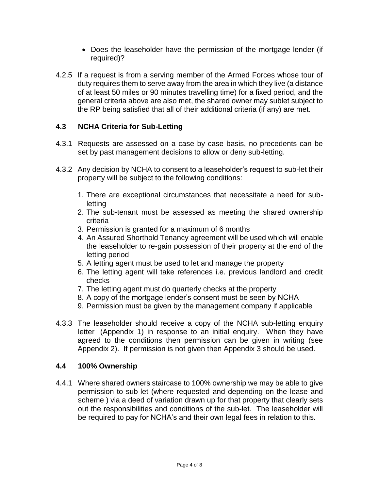- Does the leaseholder have the permission of the mortgage lender (if required)?
- 4.2.5 If a request is from a serving member of the Armed Forces whose tour of duty requires them to serve away from the area in which they live (a distance of at least 50 miles or 90 minutes travelling time) for a fixed period, and the general criteria above are also met, the shared owner may sublet subject to the RP being satisfied that all of their additional criteria (if any) are met.

## **4.3 NCHA Criteria for Sub-Letting**

- 4.3.1 Requests are assessed on a case by case basis, no precedents can be set by past management decisions to allow or deny sub-letting.
- 4.3.2 Any decision by NCHA to consent to a leaseholder's request to sub-let their property will be subject to the following conditions:
	- 1. There are exceptional circumstances that necessitate a need for subletting
	- 2. The sub-tenant must be assessed as meeting the shared ownership criteria
	- 3. Permission is granted for a maximum of 6 months
	- 4. An Assured Shorthold Tenancy agreement will be used which will enable the leaseholder to re-gain possession of their property at the end of the letting period
	- 5. A letting agent must be used to let and manage the property
	- 6. The letting agent will take references i.e. previous landlord and credit checks
	- 7. The letting agent must do quarterly checks at the property
	- 8. A copy of the mortgage lender's consent must be seen by NCHA
	- 9. Permission must be given by the management company if applicable
- 4.3.3 The leaseholder should receive a copy of the NCHA sub-letting enquiry letter (Appendix 1) in response to an initial enquiry. When they have agreed to the conditions then permission can be given in writing (see Appendix 2). If permission is not given then Appendix 3 should be used.

#### **4.4 100% Ownership**

4.4.1 Where shared owners staircase to 100% ownership we may be able to give permission to sub-let (where requested and depending on the lease and scheme ) via a deed of variation drawn up for that property that clearly sets out the responsibilities and conditions of the sub-let. The leaseholder will be required to pay for NCHA's and their own legal fees in relation to this.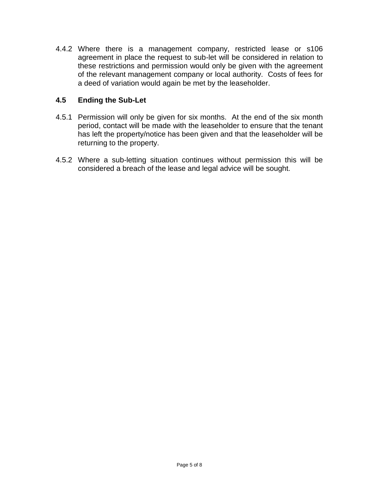4.4.2 Where there is a management company, restricted lease or s106 agreement in place the request to sub-let will be considered in relation to these restrictions and permission would only be given with the agreement of the relevant management company or local authority. Costs of fees for a deed of variation would again be met by the leaseholder.

## **4.5 Ending the Sub-Let**

- 4.5.1 Permission will only be given for six months. At the end of the six month period, contact will be made with the leaseholder to ensure that the tenant has left the property/notice has been given and that the leaseholder will be returning to the property.
- 4.5.2 Where a sub-letting situation continues without permission this will be considered a breach of the lease and legal advice will be sought.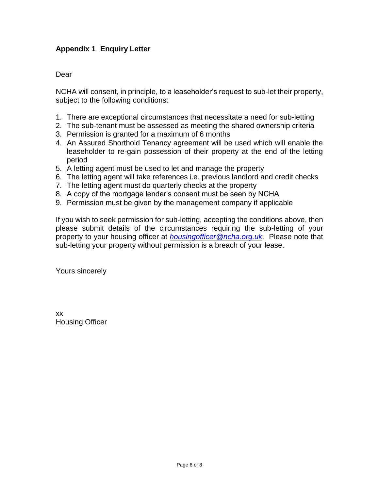## **Appendix 1 Enquiry Letter**

#### Dear

NCHA will consent, in principle, to a leaseholder's request to sub-let their property, subject to the following conditions:

- 1. There are exceptional circumstances that necessitate a need for sub-letting
- 2. The sub-tenant must be assessed as meeting the shared ownership criteria
- 3. Permission is granted for a maximum of 6 months
- 4. An Assured Shorthold Tenancy agreement will be used which will enable the leaseholder to re-gain possession of their property at the end of the letting period
- 5. A letting agent must be used to let and manage the property
- 6. The letting agent will take references i.e. previous landlord and credit checks
- 7. The letting agent must do quarterly checks at the property
- 8. A copy of the mortgage lender's consent must be seen by NCHA
- 9. Permission must be given by the management company if applicable

If you wish to seek permission for sub-letting, accepting the conditions above, then please submit details of the circumstances requiring the sub-letting of your property to your housing officer at *[housingofficer@ncha.org.uk.](mailto:housingofficer@ncha.org.uk)* Please note that sub-letting your property without permission is a breach of your lease.

Yours sincerely

xx Housing Officer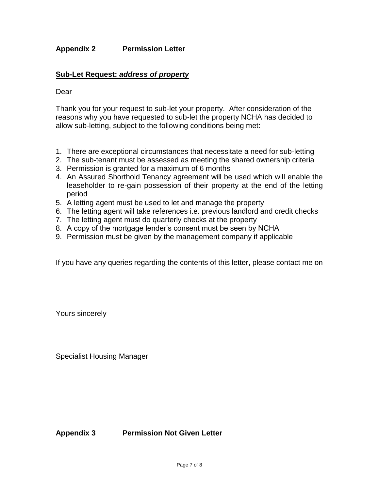## **Appendix 2 Permission Letter**

#### **Sub-Let Request:** *address of property*

#### Dear

Thank you for your request to sub-let your property. After consideration of the reasons why you have requested to sub-let the property NCHA has decided to allow sub-letting, subject to the following conditions being met:

- 1. There are exceptional circumstances that necessitate a need for sub-letting
- 2. The sub-tenant must be assessed as meeting the shared ownership criteria
- 3. Permission is granted for a maximum of 6 months
- 4. An Assured Shorthold Tenancy agreement will be used which will enable the leaseholder to re-gain possession of their property at the end of the letting period
- 5. A letting agent must be used to let and manage the property
- 6. The letting agent will take references i.e. previous landlord and credit checks
- 7. The letting agent must do quarterly checks at the property
- 8. A copy of the mortgage lender's consent must be seen by NCHA
- 9. Permission must be given by the management company if applicable

If you have any queries regarding the contents of this letter, please contact me on

Yours sincerely

Specialist Housing Manager

**Appendix 3 Permission Not Given Letter**